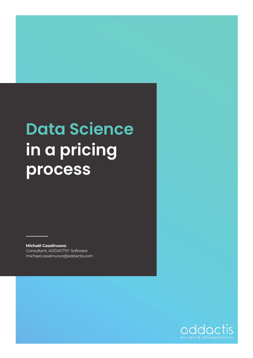## **Data Science in a pricing process**

**Michaël Casalinuovo** Consultant, ADDACTIS® Software [michael.casalinuovo@addactis.com](mailto:michael.casalinuovo%40addactis.com?subject=)

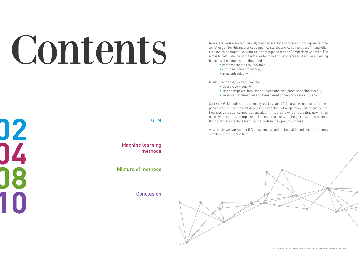**02 04 08 10** Conclusion

# Contents

Machine learning methods

Mixture of methods

#### GLM

Nowadays, we live in a continuously changing market environment, Pricing has become a challenge. Non-life insurance companies started a price competition. Among other reasons, this competition is due to the emergence of price Comparison websites. The aim is to calculate the right tariff in order to keep customers satisfied while creating business. This implies that they need to:

- operate very quickly;
- 
- have well documented and transparent pricing processes in place.
- compensate the risk they take;
- continue to be competitive;
- avoid anti selection.

In addition to that, insurers need to:

• use appropriate data, sophisticated and best practice pricing models;



Currently, GLM models are commonly used by Non-life insurance companies for their pricing process. These models have a lot of advantages: transparency, understanding, etc. However, Data science methods and algorithms are growing and creating new niches not only for insurance companies but for many businesses. Therefore, some companies try to integrate machine learning methods in their pricing process.

As a result, we can wonder if Data science would replace GLM and become the new standard in the Pricing field.

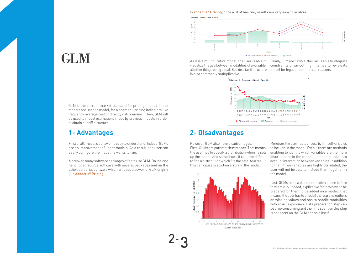#### In **addactis<sup>®</sup> Pricing**, once a GLM has run, results are very easy to analyze.



## GLM

First of all, model's behavior is easy to understand. Indeed, GLMs are an improvement of linear models. As a result, the user can easily configure the model he wants to run.

Moreover, many software packages offer to use GLM. On the one hand, open source software with several packages and on the other, actuarial software which embeds a powerful GLM engine like addactis® Pricing.

> 2- 3

#### **1- Advantages**

GLM is the current market standard for pricing. Indeed, these models are used to model, for a segment, pricing indicators like frequency, average cost or directly risk premium. Then, GLM will be used to model estimations made by previous models in order to obtain a tariff structure.

As it is a multiplicative model, the user is able to Finally, GLM are flexible, the user is able to integrate visualize the gap between modalities of a variable, constraints or smoothing if he has to review its all other things being equal. Besides, tariff structure model for legal or commercial reasons. is also commonly multiplicative.



#### **2- Disadvantages**

However, GLM also have disadvantages. First, GLMs are parametric methods. That means, the user has to specify a distribution when he sets up the model. And sometimes, it could be difficult to find a distribution which fits the data. As a result, this can cause prediction errors in the model. Moreover, the user has to choose by himself variables to include in the model. Even if there are methods enabling to identify which variables are the more discriminant in the model, it does not take into account interaction between variables. In addition to that, if two variables are highly correlated, the user will not be able to include them together in the model.



Last, GLMs need a data preparation phase before they are run. Indeed, explicative factors have to be prepared for them to be added on a model. That means, the user has to check if there are no outliers or missing values and has to handle modalities with small exposures. Data preparation step can be time consuming and the time spent on this step is not spent on the GLM analysis itself.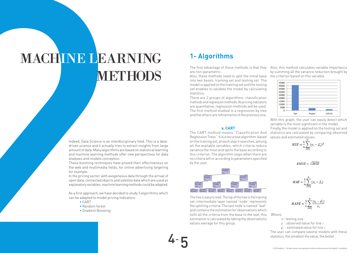# MACHINE LEARNING 1-Algorithms<br>METTIODS<br>2 12 12 12 12 13 14 15 MACHINE LEARNING METHODS

4-

#### **1- Algorithms**

into two bases: training set and testing set. The model is applied on the training set and the testing set enables to validate the model by calculating statistics.

There are 2 groups of algorithms: classification methods and regression methods. As pricing indicators are quantitative, regression methods will be used. The first method studied is a regression by tree and the others are refinements of the previous one.

#### **a. CART**

The CART method means "Classification And Regression Trees". It is a recursive algorithm: based on the training set, at each step it searches, among all the available variables, which criteria reduce variance the most and splits the base according to this criterion. The algorithm stops when there are no criteria left or according to parameters specified by the user.



5



Indeed, Data Science is an interdisciplinary field. This is a datadriven science and it actually tries to extract insights from large amount of data. Many algorithms are based on statistical learning and machine learning methods offer new perspectives for data analyses and models conception.

The first advantage of these methods is that they are non-parametric. Also, these methods need to split the initial base the criterion based on this variable. Also, this method calculates variable importance by summing all the variance reduction brought by

> $\mu_i^{}$  : estimated value for line  $i$ The user can compare several models with these statistics, the smallest the value, the better.

These booming techniques have proved their effectiveness on the web and multimedia fields, for online advertising targeting for example.

In the pricing sector, with exogeneous data through the arrival of open data, connected objects and satellite data which are used as explanatory variables, machine learning methods could be adapted.

As a first approach, we have decided to study 3 algorithms which can be adapted to model pricing indicators:

- CART
- Random forest
- Gradient Boosting

The tree is easy to read. The top of the tree is the training set, intermediate layer named "node" represents the splitting criteria. The last node is named "leaf" and contains the estimation for observations which fulfil all the criteria from the base to the leaf, this Where: estimation is calculated by taking the observations values average for this group.

With this graph, the user can easily detect which variable is the most significant in the model.

Finally, the model is applied on the testing set and statistics are calculated by comparing observed values and estimated values:

$$
MSE = \frac{1}{n} \sum_{i=1}^{n} (y_i - \hat{\mu}_i)^2
$$

$$
MAE = \frac{1}{n} \sum_{i=1}^{n} |y_i - \widehat{\mu}_i|
$$

$$
MAPE = \frac{1}{n} \sum_{i=1}^{n} \frac{|y_i - \hat{\mu}_i|}{y_i}
$$

 $n:$  testing size

 $y_i$  : observed value for line  $i$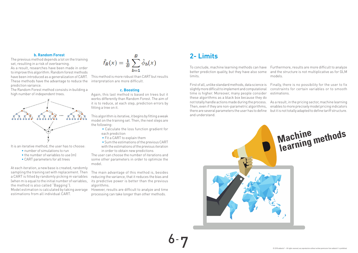6-

#### **2- Limits**

7

#### **b. Random Forest**

The previous method depends a lot on the training set, resulting in a risk of overlearning. As a result, researches have been made in order

to improve this algorithm. Random forest methods have been introduced as a generalization of CART. These methods have the advantage to reduce the prediction variance.

The Random Forest method consists in building a high number of independent trees.



It is an iterative method; the user has to choose:

- number of simulations to run
- the number of variables to use (m)
- CART parameters for all trees

At each iteration, a new base is created, randomly sampling the training set with replacement. Then a CART is fitted by randomly picking m variables (when m is equal to the initial number of variables, its predictive power is better than the previous the method is also called "Bagging"). Model estimation is calculated by taking average estimations from all individual CART.

$$
\hat{f}_B(x) = \frac{1}{B} \sum_{b=1}^B \hat{\phi}_b(x)
$$

To conclude, machine learning methods can have Furthermore, results are more difficult to analyze better prediction quality, but they have also some and the structure is not multiplicative as for GLM limits. models.

First of all, unlike standard methods, data science is Finally, there is no possibility for the user to fix slightly more difficult to implement and computational time is higher. Moreover, many people consider these algorithms as a black box because they do not totally handle actions made during the process. Then, even if they are non-parametric algorithms, there are several parameters the user has to define but it is not totally adapted to define tariff structure. and understand. constraints for certain variables or to smooth estimations. As a result, in the pricing sector, machine learning enables to more precisely model pricing indicators

This method is more robust than CART but results interpretation are more difficult.

#### **c. Boosting**

Again, this last method is based on trees but it works differently than Random Forest. The aim of it is to reduce, at each step, prediction errors by fitting a tree on it.

This algorithm is iterative, it begins by fitting a weak model on the training set. Then, the next steps are the following:

- Calculate the loss function gradient for each prediction
- Fit a CART to explain them

• Sum the estimations of the previous CART with the estimations of the previous iteration in order to obtain new predictions

The user can choose the number of iterations and some other parameters in order to optimize the model.

The main advantage of this method is, besides reducing the variance, that it reduces the bias and algorithms.

However, results are difficult to analyze and time processing can take longer than other methods.

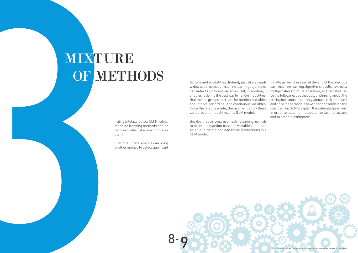# MIXTURE OF METHODS

Failing to totally replace GLM models, machine learning methods can be combined with GLM in order to improve them.

First of all, data science can bring another method to detect significant



Besides, the user could use machine learning methods to detect interaction between variables and then be able to create and add these interactions in a GLM model.

factors and modalities. Indeed, just like already widely used methods, machine learning algorithms can detect significant variables. But, in addition, it enables to define the best way to handle modalities; that means groups to create for nominal variables and interval for ordinal and continuous variables. Once this step is made, the user will apply these variables and modalities on a GLM model. Finally, as we have seen at the end of the previous part, machine learning algorithms results have not a multiplicative structure. Therefore, an alternative can be the following; use these algorithms to model the pricing indicators (frequency, amount, risk premium) and once these models have been consolidated the user can run GLM to explain the estimated premium in order to obtain a multiplicative tariff structure and to smooth estimators.